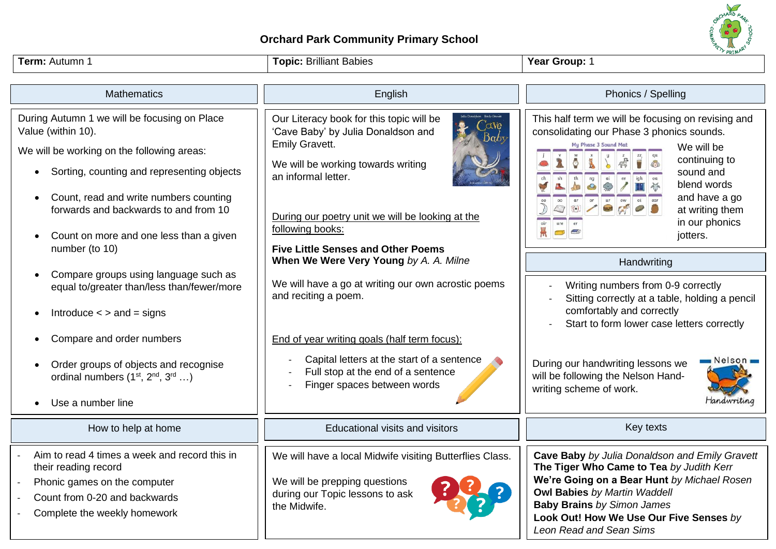

## **Orchard Park Community Primary School**

| Term: Autumn 1                                                                                                                                                                                                                                                 | <b>Topic: Brilliant Babies</b>                                                                                                                                                                                                                       | <b>V PRIMAY</b><br>Year Group: 1                                                                                                                                                                                                                                                            |
|----------------------------------------------------------------------------------------------------------------------------------------------------------------------------------------------------------------------------------------------------------------|------------------------------------------------------------------------------------------------------------------------------------------------------------------------------------------------------------------------------------------------------|---------------------------------------------------------------------------------------------------------------------------------------------------------------------------------------------------------------------------------------------------------------------------------------------|
| <b>Mathematics</b>                                                                                                                                                                                                                                             | English                                                                                                                                                                                                                                              | Phonics / Spelling                                                                                                                                                                                                                                                                          |
| During Autumn 1 we will be focusing on Place<br>Value (within 10).<br>We will be working on the following areas:<br>Sorting, counting and representing objects<br>Count, read and write numbers counting<br>$\bullet$<br>forwards and backwards to and from 10 | Our Literacy book for this topic will be<br>$\alpha$ ve<br>'Cave Baby' by Julia Donaldson and<br>Emily Gravett.<br>We will be working towards writing<br>an informal letter.<br>During our poetry unit we will be looking at the<br>following books: | This half term we will be focusing on revising and<br>consolidating our Phase 3 phonics sounds.<br>My Phase 3 Sound Mat<br>We will be<br>continuing to<br>sound and<br>blend words<br>and have a go<br>at writing them<br>in our phonics                                                    |
| Count on more and one less than a given<br>$\bullet$<br>number (to 10)                                                                                                                                                                                         | <b>Five Little Senses and Other Poems</b><br>When We Were Very Young by A. A. Milne                                                                                                                                                                  | jotters.<br>Handwriting                                                                                                                                                                                                                                                                     |
| Compare groups using language such as<br>$\bullet$<br>equal to/greater than/less than/fewer/more<br>Introduce $\lt$ > and = signs                                                                                                                              | We will have a go at writing our own acrostic poems<br>and reciting a poem.                                                                                                                                                                          | Writing numbers from 0-9 correctly<br>Sitting correctly at a table, holding a pencil<br>comfortably and correctly                                                                                                                                                                           |
| Compare and order numbers                                                                                                                                                                                                                                      | End of year writing goals (half term focus):                                                                                                                                                                                                         | Start to form lower case letters correctly                                                                                                                                                                                                                                                  |
| Order groups of objects and recognise<br>$\bullet$<br>ordinal numbers $(1st, 2nd, 3rd )$                                                                                                                                                                       | Capital letters at the start of a sentence<br>Full stop at the end of a sentence<br>Finger spaces between words                                                                                                                                      | Nelson<br>During our handwriting lessons we<br>will be following the Nelson Hand-<br>writing scheme of work.<br>Handwriting                                                                                                                                                                 |
| Use a number line                                                                                                                                                                                                                                              |                                                                                                                                                                                                                                                      |                                                                                                                                                                                                                                                                                             |
| How to help at home                                                                                                                                                                                                                                            | <b>Educational visits and visitors</b>                                                                                                                                                                                                               | Key texts                                                                                                                                                                                                                                                                                   |
| Aim to read 4 times a week and record this in<br>their reading record<br>Phonic games on the computer<br>Count from 0-20 and backwards<br>Complete the weekly homework                                                                                         | We will have a local Midwife visiting Butterflies Class.<br>We will be prepping questions<br>during our Topic lessons to ask<br>the Midwife.                                                                                                         | Cave Baby by Julia Donaldson and Emily Gravett<br>The Tiger Who Came to Tea by Judith Kerr<br>We're Going on a Bear Hunt by Michael Rosen<br><b>Owl Babies by Martin Waddell</b><br><b>Baby Brains by Simon James</b><br>Look Out! How We Use Our Five Senses by<br>Leon Read and Sean Sims |